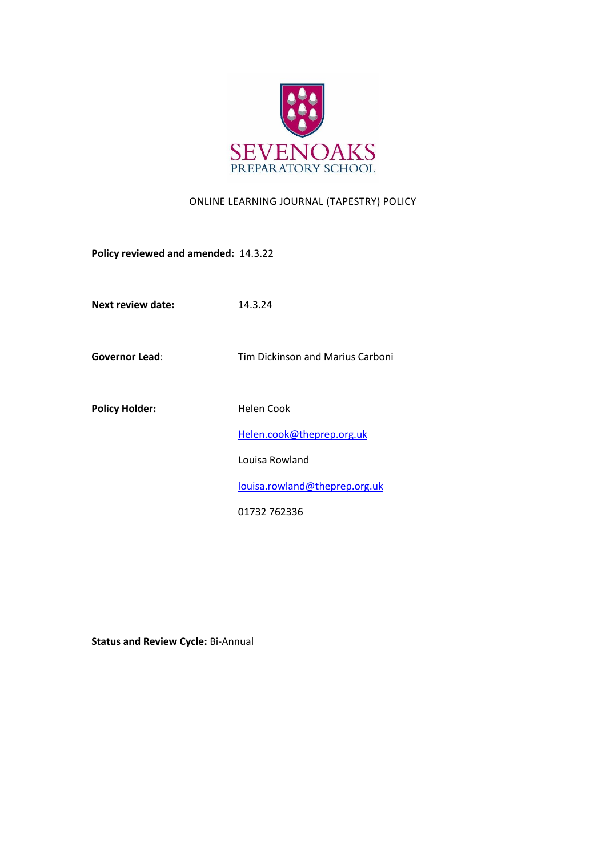

## ONLINE LEARNING JOURNAL (TAPESTRY) POLICY

**Policy reviewed and amended:** 14.3.22

**Next review date:** 14.3.24

**Governor Lead**: Tim Dickinson and Marius Carboni

Policy Holder: **Helen Cook** [Helen.cook@theprep.org.uk](mailto:Helen.cook@theprep.org.uk) Louisa Rowland [louisa.rowland@theprep.org.uk](mailto:Samantha.hayward@theprep.org.uk) 01732 762336

**Status and Review Cycle:** Bi-Annual